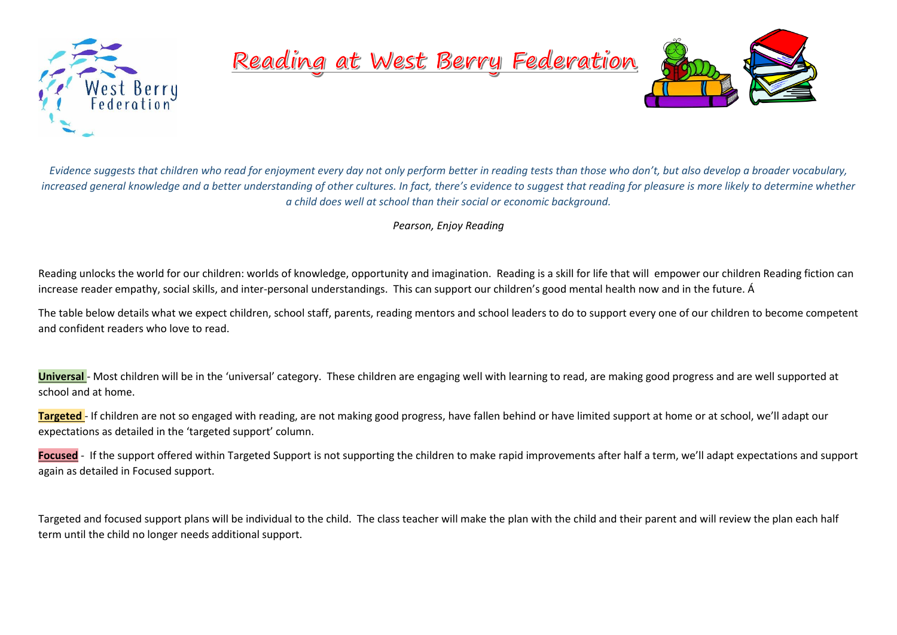

Reading at West Berry Federation



*Evidence suggests that children who read for enjoyment every day not only perform better in reading tests than those who don't, but also develop a broader vocabulary, increased general knowledge and a better understanding of other cultures. In fact, there's evidence to suggest that reading for pleasure is more likely to determine whether a child does well at school than their social or economic background.*

*Pearson, Enjoy Reading*

Reading unlocks the world for our children: worlds of knowledge, opportunity and imagination. Reading is a skill for life that will empower our children Reading fiction can increase reader [empathy,](https://www.psychologytoday.com/gb/basics/empathy) social skills, and inter-personal understandings. This can support our children's good mental health now and in the future. Á

The table below details what we expect children, school staff, parents, reading mentors and school leaders to do to support every one of our children to become competent and confident readers who love to read.

**Universal** - Most children will be in the 'universal' category. These children are engaging well with learning to read, are making good progress and are well supported at school and at home.

**Targeted** - If children are not so engaged with reading, are not making good progress, have fallen behind or have limited support at home or at school, we'll adapt our expectations as detailed in the 'targeted support' column.

**Focused** - If the support offered within Targeted Support is not supporting the children to make rapid improvements after half a term, we'll adapt expectations and support again as detailed in Focused support.

Targeted and focused support plans will be individual to the child. The class teacher will make the plan with the child and their parent and will review the plan each half term until the child no longer needs additional support.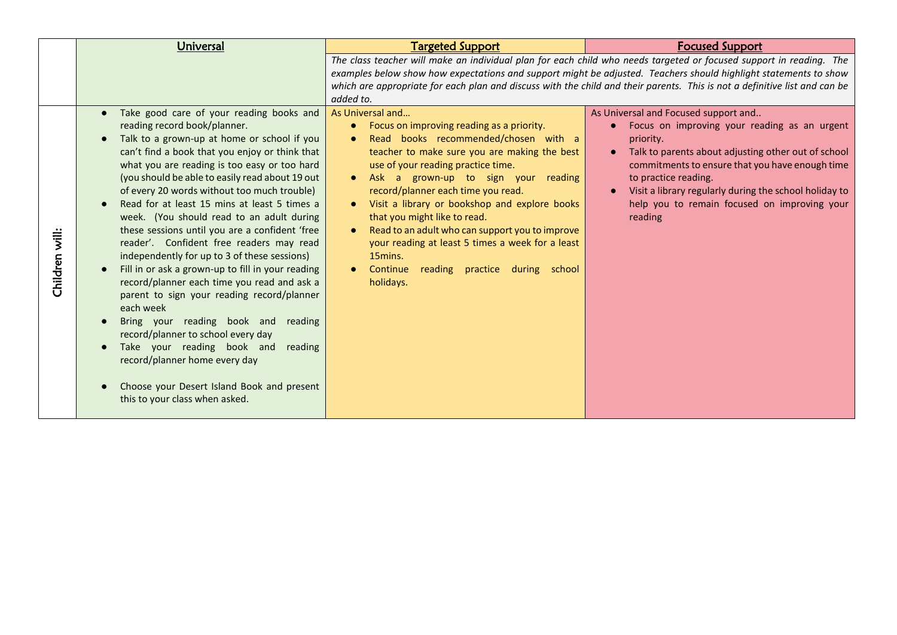|                | Universal                                                                                                                                                                                                                                                                                                                                                                                                                                                                                                                                                                                                                                                                                                                                                                                                                                                                                                                                                                    | <b>Targeted Support</b>                                                                                                                                                                                                                                                                                                                                                                                                                                                                                                                                                                                              | <b>Focused Support</b>                                                                                                                                                                                                                                                                                                                                                |
|----------------|------------------------------------------------------------------------------------------------------------------------------------------------------------------------------------------------------------------------------------------------------------------------------------------------------------------------------------------------------------------------------------------------------------------------------------------------------------------------------------------------------------------------------------------------------------------------------------------------------------------------------------------------------------------------------------------------------------------------------------------------------------------------------------------------------------------------------------------------------------------------------------------------------------------------------------------------------------------------------|----------------------------------------------------------------------------------------------------------------------------------------------------------------------------------------------------------------------------------------------------------------------------------------------------------------------------------------------------------------------------------------------------------------------------------------------------------------------------------------------------------------------------------------------------------------------------------------------------------------------|-----------------------------------------------------------------------------------------------------------------------------------------------------------------------------------------------------------------------------------------------------------------------------------------------------------------------------------------------------------------------|
|                |                                                                                                                                                                                                                                                                                                                                                                                                                                                                                                                                                                                                                                                                                                                                                                                                                                                                                                                                                                              | added to.                                                                                                                                                                                                                                                                                                                                                                                                                                                                                                                                                                                                            | The class teacher will make an individual plan for each child who needs targeted or focused support in reading. The<br>examples below show how expectations and support might be adjusted. Teachers should highlight statements to show<br>which are appropriate for each plan and discuss with the child and their parents. This is not a definitive list and can be |
| Children will: | Take good care of your reading books and<br>reading record book/planner.<br>Talk to a grown-up at home or school if you<br>can't find a book that you enjoy or think that<br>what you are reading is too easy or too hard<br>(you should be able to easily read about 19 out<br>of every 20 words without too much trouble)<br>Read for at least 15 mins at least 5 times a<br>week. (You should read to an adult during<br>these sessions until you are a confident 'free<br>reader'. Confident free readers may read<br>independently for up to 3 of these sessions)<br>Fill in or ask a grown-up to fill in your reading<br>record/planner each time you read and ask a<br>parent to sign your reading record/planner<br>each week<br>Bring your reading book and reading<br>record/planner to school every day<br>Take your reading book and<br>reading<br>record/planner home every day<br>Choose your Desert Island Book and present<br>this to your class when asked. | As Universal and<br>Focus on improving reading as a priority.<br>$\bullet$<br>Read books recommended/chosen with a<br>$\bullet$<br>teacher to make sure you are making the best<br>use of your reading practice time.<br>Ask a grown-up to sign your reading<br>$\bullet$<br>record/planner each time you read.<br>Visit a library or bookshop and explore books<br>$\bullet$<br>that you might like to read.<br>Read to an adult who can support you to improve<br>$\bullet$<br>your reading at least 5 times a week for a least<br>15mins.<br>Continue<br>reading practice during school<br>$\bullet$<br>holidays. | As Universal and Focused support and<br>Focus on improving your reading as an urgent<br>$\bullet$<br>priority.<br>Talk to parents about adjusting other out of school<br>commitments to ensure that you have enough time<br>to practice reading.<br>Visit a library regularly during the school holiday to<br>help you to remain focused on improving your<br>reading |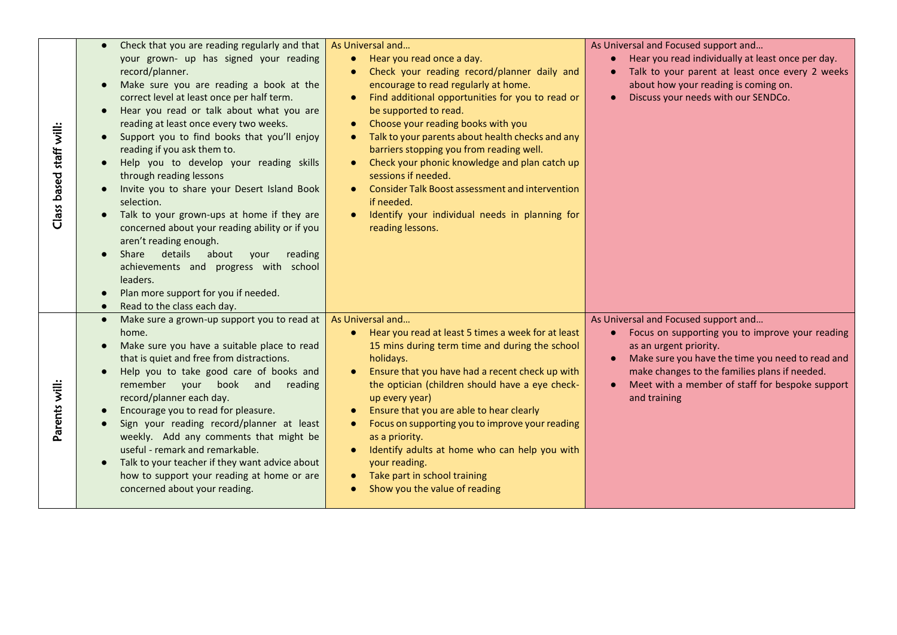| staff will:<br>Class based | Check that you are reading regularly and that<br>your grown- up has signed your reading<br>record/planner.<br>Make sure you are reading a book at the<br>correct level at least once per half term.<br>Hear you read or talk about what you are<br>reading at least once every two weeks.<br>Support you to find books that you'll enjoy<br>reading if you ask them to.<br>Help you to develop your reading skills<br>through reading lessons<br>Invite you to share your Desert Island Book<br>selection.<br>Talk to your grown-ups at home if they are<br>concerned about your reading ability or if you<br>aren't reading enough.<br>details<br>Share<br>about<br>your<br>reading<br>achievements and progress with school<br>leaders.<br>Plan more support for you if needed.<br>$\bullet$<br>Read to the class each day. | As Universal and<br>• Hear you read once a day.<br>Check your reading record/planner daily and<br>$\bullet$<br>encourage to read regularly at home.<br>Find additional opportunities for you to read or<br>$\bullet$<br>be supported to read.<br>Choose your reading books with you<br>Talk to your parents about health checks and any<br>barriers stopping you from reading well.<br>Check your phonic knowledge and plan catch up<br>sessions if needed.<br><b>Consider Talk Boost assessment and intervention</b><br>if needed.<br>Identify your individual needs in planning for<br>reading lessons. | As Universal and Focused support and<br>• Hear you read individually at least once per day.<br>Talk to your parent at least once every 2 weeks<br>about how your reading is coming on.<br>Discuss your needs with our SENDCo.                                                                          |
|----------------------------|-------------------------------------------------------------------------------------------------------------------------------------------------------------------------------------------------------------------------------------------------------------------------------------------------------------------------------------------------------------------------------------------------------------------------------------------------------------------------------------------------------------------------------------------------------------------------------------------------------------------------------------------------------------------------------------------------------------------------------------------------------------------------------------------------------------------------------|-----------------------------------------------------------------------------------------------------------------------------------------------------------------------------------------------------------------------------------------------------------------------------------------------------------------------------------------------------------------------------------------------------------------------------------------------------------------------------------------------------------------------------------------------------------------------------------------------------------|--------------------------------------------------------------------------------------------------------------------------------------------------------------------------------------------------------------------------------------------------------------------------------------------------------|
| Parents will               | Make sure a grown-up support you to read at<br>$\bullet$<br>home.<br>Make sure you have a suitable place to read<br>that is quiet and free from distractions.<br>Help you to take good care of books and<br>remember your book and<br>reading<br>record/planner each day.<br>Encourage you to read for pleasure.<br>Sign your reading record/planner at least<br>weekly. Add any comments that might be<br>useful - remark and remarkable.<br>Talk to your teacher if they want advice about<br>how to support your reading at home or are<br>concerned about your reading.                                                                                                                                                                                                                                                   | As Universal and<br>Hear you read at least 5 times a week for at least<br>$\bullet$<br>15 mins during term time and during the school<br>holidays.<br>Ensure that you have had a recent check up with<br>$\bullet$<br>the optician (children should have a eye check-<br>up every year)<br>Ensure that you are able to hear clearly<br>Focus on supporting you to improve your reading<br>$\bullet$<br>as a priority.<br>Identify adults at home who can help you with<br>your reading.<br>Take part in school training<br>Show you the value of reading                                                  | As Universal and Focused support and<br>Focus on supporting you to improve your reading<br>$\bullet$<br>as an urgent priority.<br>Make sure you have the time you need to read and<br>make changes to the families plans if needed.<br>Meet with a member of staff for bespoke support<br>and training |